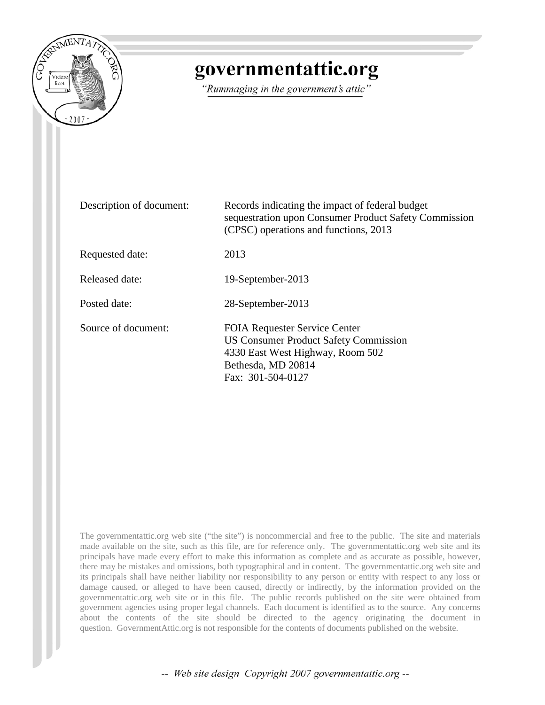

# governmentattic.org

"Rummaging in the government's attic"

| Description of document: | Records indicating the impact of federal budget<br>sequestration upon Consumer Product Safety Commission<br>(CPSC) operations and functions, 2013                   |
|--------------------------|---------------------------------------------------------------------------------------------------------------------------------------------------------------------|
| Requested date:          | 2013                                                                                                                                                                |
| Released date:           | 19-September-2013                                                                                                                                                   |
| Posted date:             | 28-September-2013                                                                                                                                                   |
| Source of document:      | <b>FOIA Requester Service Center</b><br><b>US Consumer Product Safety Commission</b><br>4330 East West Highway, Room 502<br>Bethesda, MD 20814<br>Fax: 301-504-0127 |

The governmentattic.org web site ("the site") is noncommercial and free to the public. The site and materials made available on the site, such as this file, are for reference only. The governmentattic.org web site and its principals have made every effort to make this information as complete and as accurate as possible, however, there may be mistakes and omissions, both typographical and in content. The governmentattic.org web site and its principals shall have neither liability nor responsibility to any person or entity with respect to any loss or damage caused, or alleged to have been caused, directly or indirectly, by the information provided on the governmentattic.org web site or in this file. The public records published on the site were obtained from government agencies using proper legal channels. Each document is identified as to the source. Any concerns about the contents of the site should be directed to the agency originating the document in question. GovernmentAttic.org is not responsible for the contents of documents published on the website.

-- Web site design Copyright 2007 governmentattic.org --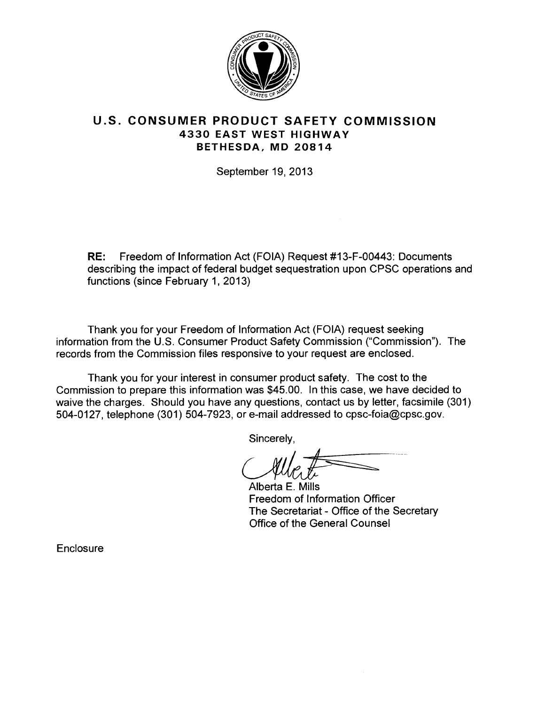

# **U.S. CONSUMER PRODUCT SAFETY COMMISSION 4330 EAST WEST HIGHWAY BETHESDA, MD 20814**

September 19, 2013

**RE:** Freedom of Information Act (FOIA) Request #13-F-00443: Documents describing the impact of federal budget sequestration upon CPSC operations and functions (since February 1, 2013)

Thank you for your Freedom of Information Act (FOIA) request seeking information from the U.S. Consumer Product Safety Commission ("Commission"). The records from the Commission files responsive to your request are enclosed.

Thank you for your interest in consumer product safety. The cost to the Commission to prepare this information was \$45.00. In this case, we have decided to waive the charges. Should you have any questions, contact us by letter, facsimile (301) 504-0127, telephone (301) 504-7923, or e-mail addressed to cpsc-foia@cpsc.gov.

Sincerely,

Alberta E. Mills Freedom of Information Officer The Secretariat - Office of the Secretary Office of the General Counsel

**Enclosure**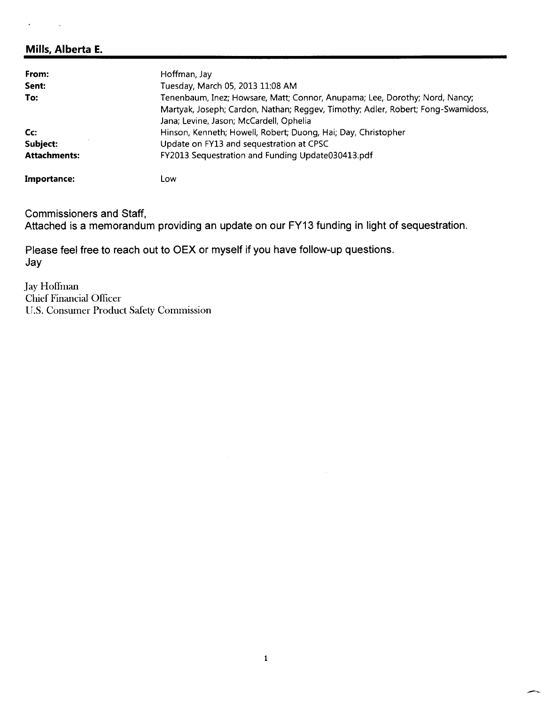# Mills, Alberta E.

| From:               | Hoffman, Jay                                                                     |
|---------------------|----------------------------------------------------------------------------------|
| Sent:               | Tuesday, March 05, 2013 11:08 AM                                                 |
| To:                 | Tenenbaum, Inez; Howsare, Matt; Connor, Anupama; Lee, Dorothy; Nord, Nancy;      |
|                     | Martyak, Joseph; Cardon, Nathan; Reggev, Timothy; Adler, Robert; Fong-Swamidoss, |
|                     | Jana; Levine, Jason; McCardell, Ophelia                                          |
| Cc                  | Hinson, Kenneth; Howell, Robert; Duong, Hai; Day, Christopher                    |
| Subject:            | Update on FY13 and sequestration at CPSC                                         |
| <b>Attachments:</b> | FY2013 Sequestration and Funding Update030413.pdf                                |
| Importance:         | Low                                                                              |

Commissioners and Staff,

Attached is a memorandum providing an update on our FY13 funding in light of sequestration.

Please feel free to reach out to OEX or myself if you have follow-up questions. Jay

Jay Hoffman Chief Financial Officer U.S. Consumer Product Safety Commission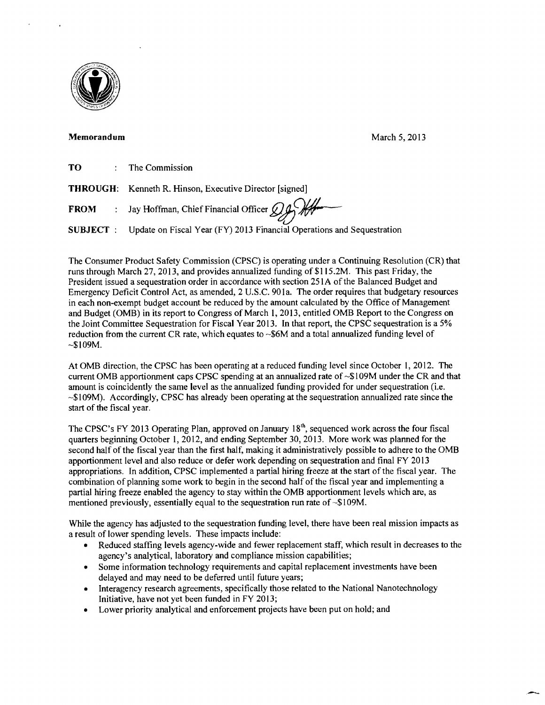

### Memorandum March 5, 2013

-

| то | The Commission |
|----|----------------|
|----|----------------|

**THROUGH:** Kenneth R. Hinson, Executive Director [signed]

**FROM** : Jay Hoffman, Chief Financial Officer  $\oint$ 

SUBJECT : Update on Fiscal Year (FY) 2013 Financial Operations and Sequestration

The Consumer Product Safety Commission (CPSC) is operating under a Continuing Resolution (CR) that runs through March 27, 2013, and provides annualized funding of \$115.2M. This past Friday, the President issued a sequestration order in accordance with section 251A of the Balanced Budget and Emergency Deficit Control Act, as amended, 2 U.S.C. 90la. The order requires that budgetary resources in each non-exempt budget account be reduced by the amount calculated by the Office of Management and Budget (OMB) in its report to Congress of March I, 2013, entitled OMB Report to the Congress on the Joint Committee Sequestration for Fiscal Year 2013. In that report, the CPSC sequestration is a 5% reduction from the current CR rate, which equates to  $\sim$ \$6M and a total annualized funding level of ~\$l09M.

At OMB direction, the CPSC has been operating at a reduced funding level since October l, 2012. The current OMB apportionment caps CPSC spending at an annualized rate of ~\$109M under the CR and that amount is coincidently the same level as the annualized funding provided for under sequestration (i.e.  $\sim$ \$109M). Accordingly, CPSC has already been operating at the sequestration annualized rate since the start of the fiscal year.

The CPSC's FY 2013 Operating Plan, approved on January  $18<sup>th</sup>$ , sequenced work across the four fiscal quarters beginning October 1, 2012, and ending September 30, 2013. More work was planned for the second half of the fiscal year than the first half, making it administratively possible to adhere to the OMB apportionment level and also reduce or defer work depending on sequestration and final FY 2013 appropriations. In addition, CPSC implemented a partial hiring freeze at the start of the fiscal year. The combination of planning some work to begin in the second half of the fiscal year and implementing a partial hiring freeze enabled the agency to stay within the OMB apportionment levels which are, as mentioned previously, essentially equal to the sequestration run rate of ~\$109M.

While the agency has adjusted to the sequestration funding level, there have been real mission impacts as a result of lower spending levels. These impacts include:

- Reduced staffing levels agency-wide and fewer replacement staff, which result in decreases to the agency's analytical, laboratory and compliance mission capabilities;
- Some information technology requirements and capital replacement investments have been delayed and may need to be deferred until future years;
- Interagency research agreements, specifically those related to the National Nanotechnology Initiative, have not yet been funded in FY 2013;
- Lower priority analytical and enforcement projects have been put on hold; and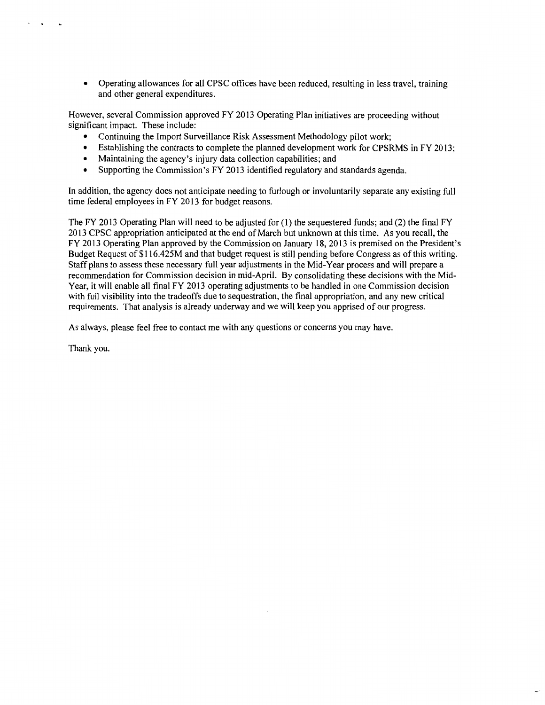• Operating allowances for all CPSC offices have been reduced, resulting in less travel, training and other general expenditures.

However, several Commission approved FY 2013 Operating Plan initiatives are proceeding without significant impact. These include:

- Continuing the Import Surveillance Risk Assessment Methodology pilot work;
- Establishing the contracts to complete the planned development work for CPSRMS in FY 2013;
- Maintaining the agency's injury data collection capabilities; and
- Supporting the Commission's FY 2013 identified regulatory and standards agenda.

In addition, the agency does not anticipate needing to furlough or involuntarily separate any existing full time federal employees in FY 2013 for budget reasons.

The FY 2013 Operating Plan will need to be adjusted for  $(1)$  the sequestered funds; and  $(2)$  the final FY 2013 CPSC appropriation anticipated at the end of March but unknown at this time. As you recall, the FY 2013 Operating Plan approved by the Commission on January 18, 2013 is premised on the President's Budget Request of \$116.425M and that budget request is still pending before Congress as of this writing. Staff plans to assess these necessary full year adjustments in the Mid-Year process and will prepare a recommendation for Commission decision in mid-April. By consolidating these decisions with the Mid-Year, it will enable all final FY 2013 operating adjustments to be handled in one Commission decision with full visibility into the tradeoffs due to sequestration, the final appropriation, and any new critical requirements. That analysis is already underway and we will keep you apprised of our progress.

As always, please feel free to contact me with any questions or concerns you may have.

Thank you.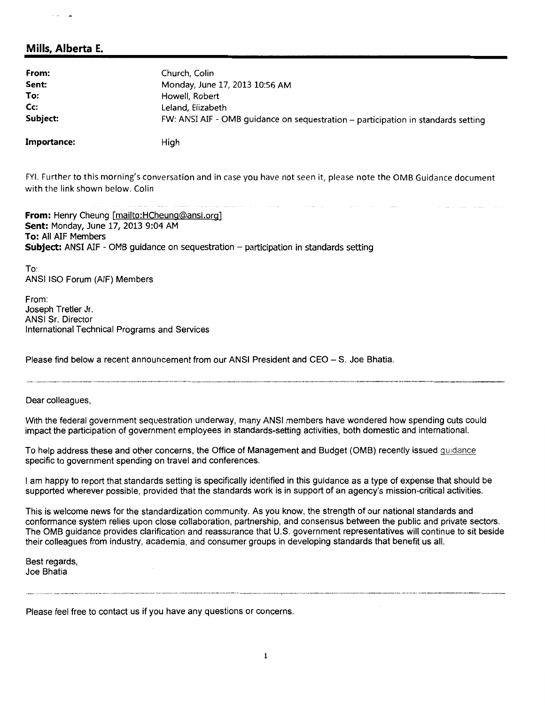# **Mills, Alberta E.**

| From:       | Church, Colin                                                                     |
|-------------|-----------------------------------------------------------------------------------|
| Sent:       | Monday, June 17, 2013 10:56 AM                                                    |
| To:         | Howell, Robert                                                                    |
| Cc:         | Leland, Elizabeth                                                                 |
| Subject:    | FW: ANSI AIF - OMB guidance on sequestration – participation in standards setting |
| Importance: | High                                                                              |

FYI. Further to this morning's conversation and in case you have not seen it, please note the OMB Guidance document with the link shown below. Colin

**From:** Henry Cheung [mailto:HCheunq@ansi.org] **Sent:** Monday, June 17, 2013 9:04 AM **To:** All AIF Members **Subject:** ANSI AIF - OMB guidance on sequestration - participation in standards setting

To: ANSI ISO Forum (AIF) Members

From: Joseph Tretler Jr. ANSI Sr. Director International Technical Programs and Services

Please find below a recent announcement from our ANSI President and CEO - S. Joe Bhatia.

Dear colleagues,

With the federal government sequestration underway, many ANSI members have wondered how spending cuts could impact the participation of government employees in standards-setting activities, both domestic and international.

To help address these and other concerns, the Office of Management and Budget (OMB) recently issued guidance specific to government spending on travel and conferences.

I am happy to report that standards setting is specifically identified in this guidance as a type of expense that should be supported wherever possible, provided that the standards work is in support of an agency's mission-critical activities.

This is welcome news for the standardization community. As you know, the strength of our national standards and conformance system relies upon close collaboration, partnership, and consensus between the public and private sectors. The OMB guidance provides clarification and reassurance that U.S. government representatives will continue to sit beside their colleagues from industry, academia, and consumer groups in developing standards that benefit us all.

Best regards, Joe Bhatia

Please feel free to contact us if you have any questions or concerns.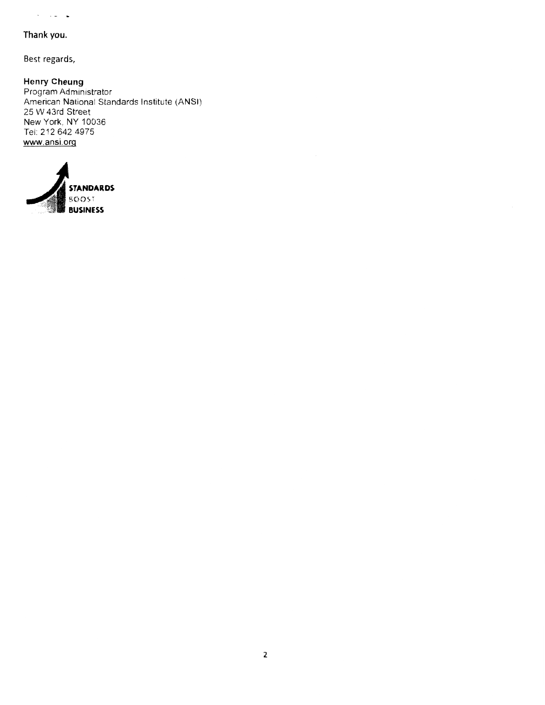### **Thank you.**

 $\hat{\sigma} = \hat{\sigma} \hat{\sigma} + \hat{\sigma}$ 

Best regards,

**Henry Cheung**  Program Administrator American National Standards Institute (ANSI) 25 W 43rd Street New York, NY 10036 Tel: 212 642 4975 www.ansi.org

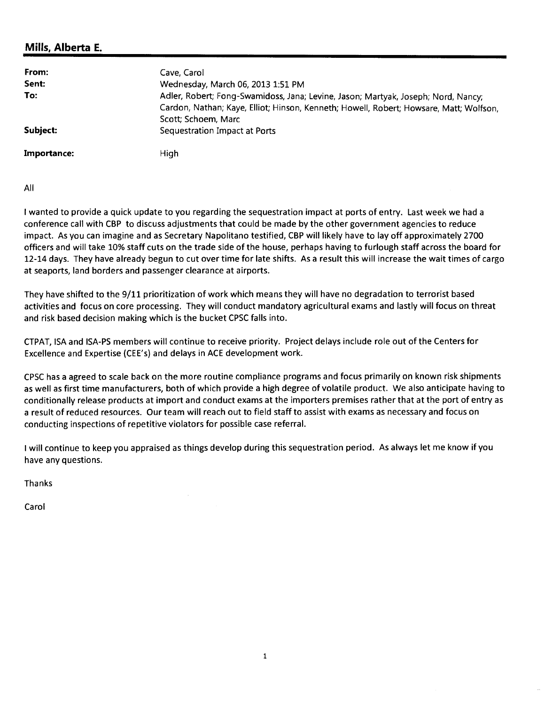# **Mills, Alberta E.**

| From:<br>Sent:<br>To: | Cave, Carol<br>Wednesday, March 06, 2013 1:51 PM<br>Adler, Robert; Fong-Swamidoss, Jana; Levine, Jason; Martyak, Joseph; Nord, Nancy;          |
|-----------------------|------------------------------------------------------------------------------------------------------------------------------------------------|
| Subject:              | Cardon, Nathan; Kaye, Elliot; Hinson, Kenneth; Howell, Robert; Howsare, Matt; Wolfson,<br>Scott; Schoem, Marc<br>Sequestration Impact at Ports |
| Importance:           | High                                                                                                                                           |

All

I wanted to provide a quick update to you regarding the sequestration impact at ports of entry. Last week we had a conference call with CBP to discuss adjustments that could be made by the other government agencies to reduce impact. As you can imagine and as Secretary Napolitano testified, CBP will likely have to lay off approximately 2700 officers and will take 10% staff cuts on the trade side of the house, perhaps having to furlough staff across the board for 12-14 days. They have already begun to cut over time for late shifts. As a result this will increase the wait times of cargo at seaports, land borders and passenger clearance at airports.

They have shifted to the 9/11 prioritization of work which means they will have no degradation to terrorist based activities and focus on core processing. They will conduct mandatory agricultural exams and lastly will focus on threat and risk based decision making which is the bucket CPSC falls into.

CTPAT, ISA and ISA-PS members will continue to receive priority. Project delays include role out of the Centers for Excellence and Expertise (CEE's) and delays in ACE development work.

CPSC has a agreed to scale back on the more routine compliance programs and focus primarily on known risk shipments as well as first time manufacturers, both of which provide a high degree of volatile product. We also anticipate having to conditionally release products at import and conduct exams at the importers premises rather that at the port of entry as a result of reduced resources. Our team will reach out to field staff to assist with exams as necessary and focus on conducting inspections of repetitive violators for possible case referral.

I will continue to keep you appraised as things develop during this sequestration period. As always let me know if you have any questions.

Thanks

Carol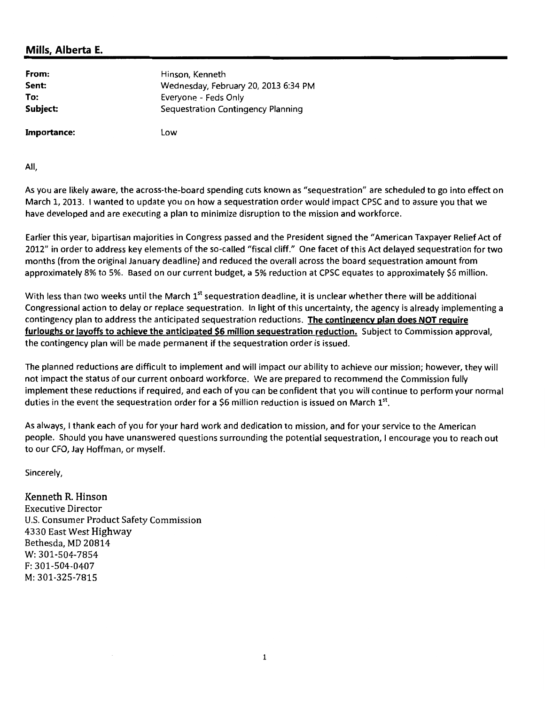# **Mills, Alberta E.**

| From:       | Hinson, Kenneth                      |
|-------------|--------------------------------------|
| Sent:       | Wednesday, February 20, 2013 6:34 PM |
| To:         | Everyone - Feds Only                 |
| Subject:    | Sequestration Contingency Planning   |
| Importance: | Low                                  |

All,

As you are likely aware, the across-the-board spending cuts known as "sequestration" are scheduled to go into effect on March 1, 2013. I wanted to update you on how a sequestration order would impact CPSC and to assure you that we have developed and are executing a plan to minimize disruption to the mission and workforce.

Earlier this year, bipartisan majorities in Congress passed and the President signed the "American Taxpayer Relief Act of 2012" in order to address key elements of the so-called "fiscal cliff." One facet of this Act delayed sequestration for two months (from the original January deadline) and reduced the overall across the board sequestration amount from approximately 8% to 5%. Based on our current budget, a 5% reduction at CPSC equates to approximately \$6 million.

With less than two weeks until the March  $1^{st}$  sequestration deadline, it is unclear whether there will be additional Congressional action to delay or replace sequestration. In light of this uncertainty, the agency is already implementing a contingency plan to address the anticipated sequestration reductions. **The contingency plan does NOT require furloughs or layoffs to achieve the anticipated \$6 million sequestration reduction.** Subject to Commission approval, the contingency plan will be made permanent if the sequestration order is issued.

The planned reductions are difficult to implement and will impact our ability to achieve our mission; however, they will not impact the status of our current onboard workforce. We are prepared to recommend the Commission fully implement these reductions if required, and each of you can be confident that you will continue to perform your normal duties in the event the sequestration order for a \$6 million reduction is issued on March  $1^{st}$ .

As always, I thank each of you for your hard work and dedication to mission, and for your service to the American people. Should you have unanswered questions surrounding the potential sequestration, I encourage you to reach out to our CFO, Jay Hoffman, or myself.

Sincerely,

Kenneth R. Hinson Executive Director U.S. Consumer Product Safety Commission 4330 East West Highway Bethesda, MD 20814 W: 301-504-7854 F: 301-504-0407 M: 301-325-7815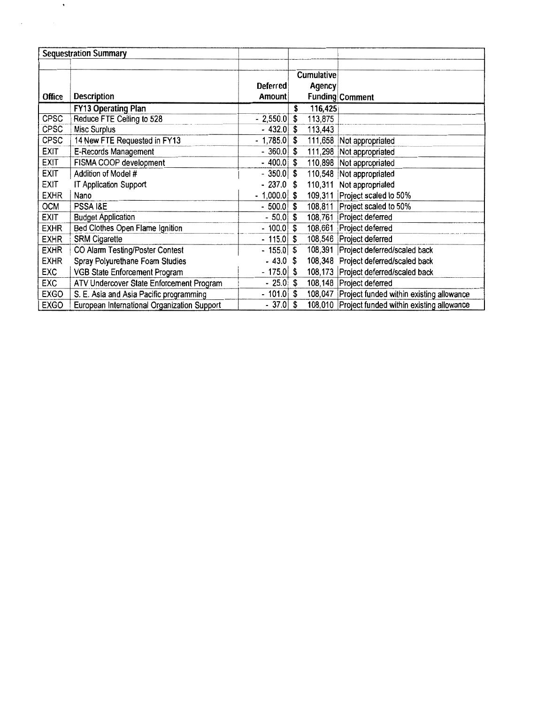|               | <b>Sequestration Summary</b>                |               |               |                                                  |
|---------------|---------------------------------------------|---------------|---------------|--------------------------------------------------|
|               |                                             |               |               |                                                  |
|               |                                             |               | Cumulative    |                                                  |
|               |                                             | Deferred      | Agency        |                                                  |
| <b>Office</b> | <b>Description</b>                          | Amount        |               | <b>Funding Comment</b>                           |
|               | <b>FY13 Operating Plan</b>                  |               | \$<br>116,425 |                                                  |
| CPSC          | Reduce FTE Ceiling to 528                   | $-2,550.0$    | \$<br>113,875 |                                                  |
| <b>CPSC</b>   | Misc Surplus                                | $-432.0$ \$   | 113,443       |                                                  |
| <b>CPSC</b>   | 14 New FTE Requested in FY13                | $-1,785.0$    | \$            | 111,658 Not appropriated                         |
| <b>EXIT</b>   | E-Records Management                        | $-360.0$ \$   |               | 111,298 Not appropriated                         |
| <b>EXIT</b>   | FISMA COOP development                      | $-400.0$ \$   |               | 110,898 Not appropriated                         |
| <b>EXIT</b>   | Addition of Model #                         | $-350.0$ \$   |               | 110,548 Not appropriated                         |
| EXIT          | IT Application Support                      | $-237.0$ \$   |               | 110,311 Not appropriated                         |
| <b>EXHR</b>   | Nano                                        | $-1,000.0$ \$ |               | 109,311 Project scaled to 50%                    |
| OCM           | PSSA I&E                                    | $-500.0$ \$   |               | 108,811 Project scaled to 50%                    |
| <b>EXIT</b>   | <b>Budget Application</b>                   | - 50.0        | \$            | 108,761 Project deferred                         |
| <b>EXHR</b>   | Bed Clothes Open Flame Ignition             | $-100.0$ \$   |               | 108,661 Project deferred                         |
| <b>EXHR</b>   | SRM Cigarette                               | $-115.0$ \$   |               | 108,546 Project deferred                         |
| <b>EXHR</b>   | CO Alarm Testing/Poster Contest             | $-155.0$ \$   |               | 108,391 Project deferred/scaled back             |
| <b>EXHR</b>   | Spray Polyurethane Foam Studies             | $-43.0$ \$    |               | 108,348 Project deferred/scaled back             |
| EXC           | VGB State Enforcement Program               | $-175.0$ \$   |               | 108,173 Project deferred/scaled back             |
| <b>EXC</b>    | ATV Undercover State Enforcement Program    | $-25.0$       | \$            | 108,148 Project deferred                         |
| EXGO          | S. E. Asia and Asia Pacific programming     | $-101.0$      | \$            | 108,047 Project funded within existing allowance |
| <b>EXGO</b>   | European International Organization Support | - 37.0        | \$            | 108,010 Project funded within existing allowance |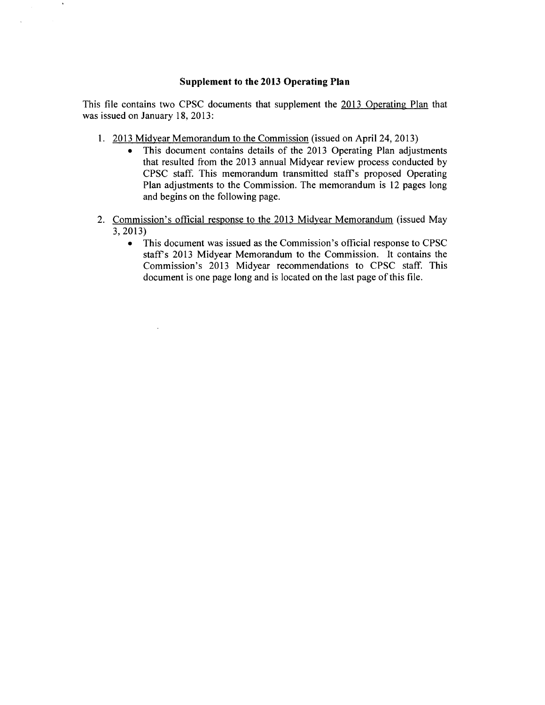### **Supplement to the 2013 Operating Plan**

This file contains two CPSC documents that supplement the 2013 Operating Plan that was issued on January 18, 2013:

- 1. 2013 Midyear Memorandum to the Commission (issued on April 24, 2013)
	- This document contains details of the 2013 Operating Plan adjustments that resulted from the 2013 annual Midyear review process conducted by CPSC staff. This memorandum transmitted staff's proposed Operating Plan adjustments to the Commission. The memorandum is 12 pages long and begins on the following page.
- 2. Commission's official response to the 2013 Midyear Memorandum (issued May 3, 2013)
	- This document was issued as the Commission's official response to CPSC staff's 2013 Midyear Memorandum to the Commission. It contains the Commission's 2013 Midyear recommendations to CPSC staff. This document is one page long and is located on the last page of this file.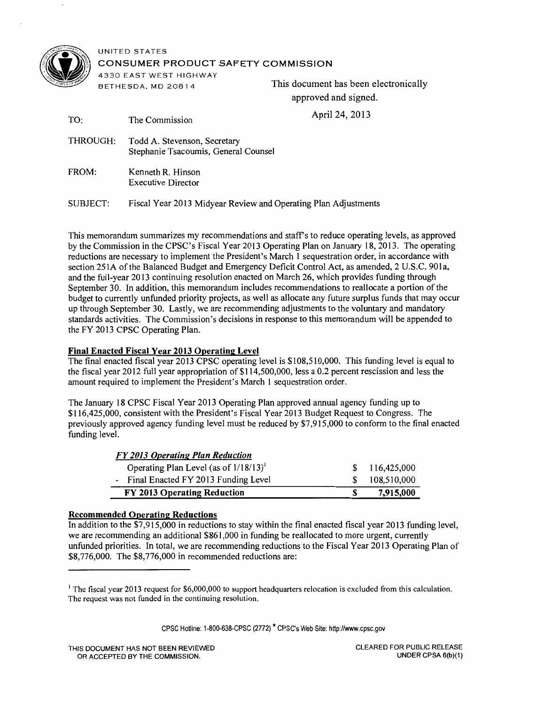

UNITED STATES CONSUMER PRODUCT SAFETY COMMISSION

4330 EAST WEST HIGHWAY

BETHESDA, MD 20814 This document has been electronically approved and signed.

 $A_{\text{mid}}$  $A_{\text{mid}}$  2012

| TO:      | The Commission                                                       | April $24, 2013$ |
|----------|----------------------------------------------------------------------|------------------|
| THROUGH: | Todd A. Stevenson, Secretary<br>Stephanie Tsacoumis, General Counsel |                  |
| FROM:    | Kenneth R. Hinson<br><b>Executive Director</b>                       |                  |
| SUBJECT: | Fiscal Year 2013 Midyear Review and Operating Plan Adjustments       |                  |

This memorandum summarizes my recommendations and staffs to reduce operating levels, as approved by the Commission in the CPSC's Fiscal Year 2013 Operating Plan on January 18, 2013. The operating reductions are necessary to implement the President's March 1 sequestration order, in accordance with section 251A of the Balanced Budget and Emergency Deficit Control Act, as amended, 2 U.S.C. 90la, and the full-year 2013 continuing resolution enacted on March 26, which provides funding through September 30. In addition, this memorandum includes recommendations to reallocate a portion of the budget to currently unfunded priority projects, as well as allocate any future surplus funds that may occur up through September 30. Lastly, we are recommending adjustments to the voluntary and mandatory standards activities. The Commission's decisions in response to this memorandum will be appended to the FY 2013 CPSC Operating Plan.

### Final Enacted Fiscal Year 2013 Operating Level

The final enacted fiscal year 2013 CPSC operating level is \$108,510,000. This funding level is equal to the fiscal year 2012 full year appropriation of \$114,500,000, less a 0.2 percent rescission and less the amount required to implement the President's March 1 sequestration order.

The January 18 CPSC Fiscal Year 2013 Operating Plan approved annual agency funding up to \$116,425,000, consistent with the President's Fiscal Year 2013 Budget Request to Congress. The previously approved agency funding level must be reduced by \$7,915,000 to conform to the final enacted funding level.

| FY 2013 Operating Plan Reduction                     |      |               |
|------------------------------------------------------|------|---------------|
| Operating Plan Level (as of $1/18/13$ ) <sup>1</sup> |      | \$116,425,000 |
| - Final Enacted FY 2013 Funding Level                | -SS- | 108.510.000   |
| FY 2013 Operating Reduction                          |      | 7,915,000     |

### Recommended Operating Reductions

In addition to the \$7,915,000 in reductions to stay within the final enacted fiscal year 2013 funding level, we are recommending an additional \$861,000 in funding be reallocated to more urgent, currently unfunded priorities. In total, we are recommending reductions to the Fiscal Year 2013 Operating Plan of \$8,776,000. The \$8,776,000 in recommended reductions are:

CPSC Hotline: 1-800-638-CPSC (2772) \* CPSC's Web Site: http://www.cpsc.gov

<sup>&</sup>lt;sup>1</sup> The fiscal year 2013 request for \$6,000,000 to support headquarters relocation is excluded from this calculation. The request was not funded in the continuing resolution.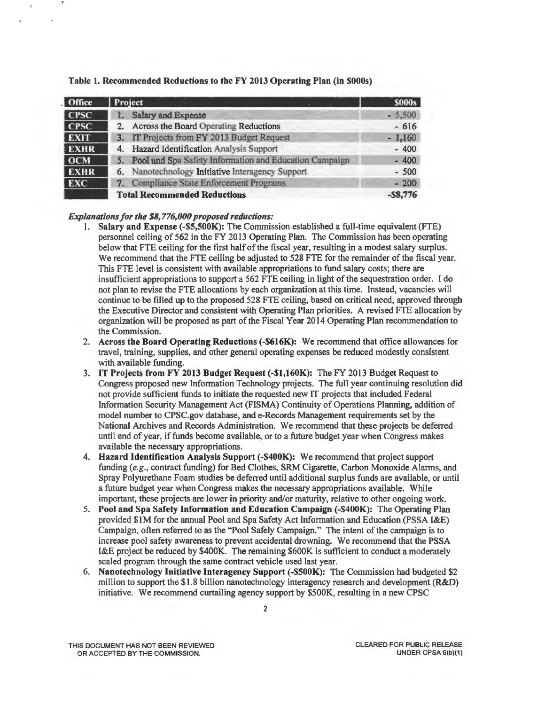| Office       | Project                                                   | <b>S000s</b> |
|--------------|-----------------------------------------------------------|--------------|
| $ $ CPSC     | <b>Salary and Expense</b>                                 | $-5,500$     |
| $ $ CPSC $ $ | Across the Board Operating Reductions<br>2.               | $-616$       |
| <b>EXIT</b>  | 3. IT Projects from FY 2013 Budget Request                | $-1,160$     |
| <b>EXHR</b>  | Hazard Identification Analysis Support<br>4.              | $-400$       |
| <b>OCM</b>   | 5. Pool and Spa Safety Information and Education Campaign | $-400$       |
| <b>EXHR</b>  | 6. Nanotechnology Initiative Interagency Support          | $-500$       |
| <b>EXC</b>   | Compliance State Enforcement Programs<br>7.               | $-200$       |
|              | <b>Total Recommended Reductions</b>                       | $-$ \$8,776  |

### *Explanations for the \$8, 776,000 proposed reductions:*

T

- l. Salary and Expense (-\$5,500K): The Commission established a full-time equivalent (FTE) personnel ceiling of 562 in the FY 2013 Operating Plan. The Commission has been operating below that FTE ceiling for the first half of the fiscal year, resulting in a modest salary surplus. We recommend that the FTE ceiling be adjusted to 528 FTE for the remainder of the fiscal year. This FTE level is consistent with available appropriations to fund salary costs; there are insufficient appropriations to support a 562 FTE ceiling in light of the sequestration order. I do not plan to revise the FTE allocations by each organization at this time. Instead, vacancies will continue to be filled up to the proposed 528 FTE ceiling, based on critical need, approved through the Executive Director and consistent with Operating Plan priorities. A revised FTE allocation by organization will be proposed as part of the Fiscal Year 2014 Operating Plan recommendation to the Commission.
- 2. Across the Board Operating Reductions (-\$616K): We recommend that office allowances for travel, training, supplies, and other general operating expenses be reduced modestly consistent with available funding.
- 3. IT Projects from FY 2013 Budget Request (-\$1,160K): The FY 2013 Budget Request to Congress proposed new Information Technology projects. The full year continuing resolution did not provide sufficient funds to initiate the requested new IT projects that included Federal Information Security Management Act (FISMA) Continuity of Operations Planning, addition of model number to CPSC.gov database, and e-Records Management requirements set by the National Archives and Records Administration. We recommend that these projects be deferred until end of year, if funds become available, or to a future budget year when Congress makes available the necessary appropriations.
- 4. Hazard Identification Analysis Support (-\$400K): We recommend that project support funding (e.g., contract funding) for Bed Clothes, SRM Cigarette, Carbon Monoxide Alarms, and Spray Polyurethane Foam studies be deferred until additional surplus funds are available, or until a future budget year when Congress makes the necessary appropriations available. While important, these projects are lower in priority and/or maturity, relative to other ongoing work.
- 5. Pool and Spa Safety Information and Education Campaign (-\$400K): The Operating Plan provided \$1M for the annual Pool and Spa Safety Act Information and Education (PSSA I&E) Campaign, often referred to as the "Pool Safely Campaign." The intent of the campaign is to increase pool safety awareness to prevent accidental drowning. We recommend that the PSSA I&E project be reduced by \$400K. The remaining \$600K is sufficient to conduct a moderately scaled program through the same contract vehicle used last year.
- 6. Nanotechnology Initiative Interagency Support (-\$500K): The Commission had budgeted \$2 million to support the \$1.8 billion nanotechnology interagency research and development (R&D) initiative. We recommend curtailing agency support by \$SOOK, resulting in a new CPSC

THIS DOCUMENT HAS NOT BEEN REVIEWED OR ACCEPTED BY THE COMMISSION.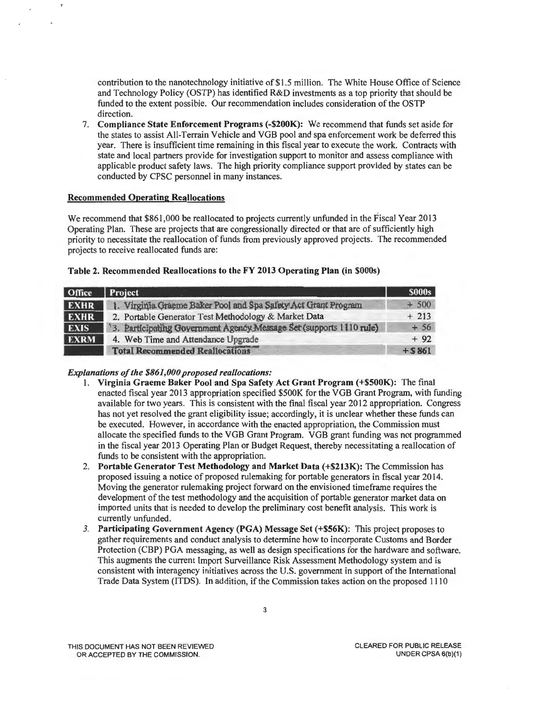contribution to the nanotechnology initiative of \$1.5 million. The White House Office of Science and Technology Policy (OSTP) has identified R&D investments as a top priority that should be funded to the extent possible. Our recommendation includes consideration of the OSTP direction.

7. Compliance State Enforcement Programs (-\$200K): We recommend that funds set aside for the states to assist All-Terrain Vehicle and VGB pool and spa enforcement work be deferred this year. There is insufficient time remaining in this fiscal year to execute the work. Contracts with state and local partners provide for investigation support to monitor and assess compliance with applicable product safety laws. The high priority compliance support provided by states can be conducted by CPSC personnel in many instances.

### Recommended Operating Reallocations

We recommend that \$861 ,000 be reallocated to projects currently unfunded in the Fiscal Year 2013 Operating Plan. These are projects that are congressionally directed or that are of sufficiently high priority to necessitate the reallocation offunds from previously approved projects. The recommended projects to receive reallocated funds are:

| Table 2. Recommended Reallocations to the FY 2013 Operating Plan (in \$000s) |  |  |  |
|------------------------------------------------------------------------------|--|--|--|
|------------------------------------------------------------------------------|--|--|--|

| <b>Office</b> | Project                                                                          | <b>\$000s</b> |
|---------------|----------------------------------------------------------------------------------|---------------|
| EXHR          | 1. Virginia Graeme Baker Pool and Spa Safety Act Grant Program                   | $+500$        |
| <b>EXHR</b>   | 2. Portable Generator Test Methodology & Market Data                             | $+213$        |
| <b>EXIS</b>   | <sup>1</sup> 3. Participating Government Agency Message Set (supports 1110 rule) | $+56$         |
| <b>EXRM</b>   | 4. Web Time and Attendance Upgrade                                               | $+92$         |
|               | <b>Total Recommended Reallocations</b>                                           | $+5861$       |

- I. Virginia Graeme Baker Pool and Spa Safety Act Grant Program (+\$SOOK): The final enacted fiscal year 2013 appropriation specified \$SOOK for the VGB Grant Program, with funding available for two years. This is consistent with the final fiscal year 2012 appropriation. Congress has not yet resolved the grant eligibility issue; accordingly, it is unclear whether these funds can be executed. However, in accordance with the enacted appropriation, the Commission must allocate the specified funds to the VGB Grant Program. VGB grant funding was not programmed in the fiscal year 2013 Operating Plan or Budget Request, thereby necessitating a reallocation of funds to be consistent with the appropriation.
- 2. Portable Generator Test Methodology and Market Data (+\$213K): The Commission has proposed issuing a notice of proposed rulemaking for portable generators in fiscal year 20 I 4. Moving the generator rulemaking project forward on the envisioned timeframe requires the development of the test methodology and the acquisition of portable generator market data on imported units that is needed to develop the preliminary cost benefit analysis. This work is currently unfunded.
- *3.* Participating Government Agency (PGA) Message Set (+\$56K): This project proposes to gather requirements and conduct analysis to determine how to incorporate Customs and Border Protection (CBP) PGA messaging, as well as design specifications for the hardware and software. This augments the current Import Surveillance Risk Assessment Methodology system and is consistent with interagency initiatives across the U.S. government in support of the International Trade Data System (ITDS). In addition, if the Commission takes action on the proposed 1110

THIS DOCUMENT HAS NOT BEEN REVIEWED OR ACCEPTED BY THE COMMISSION.

CLEARED FOR PUBLIC RELEASE UNDER CPSA 6(b)(1)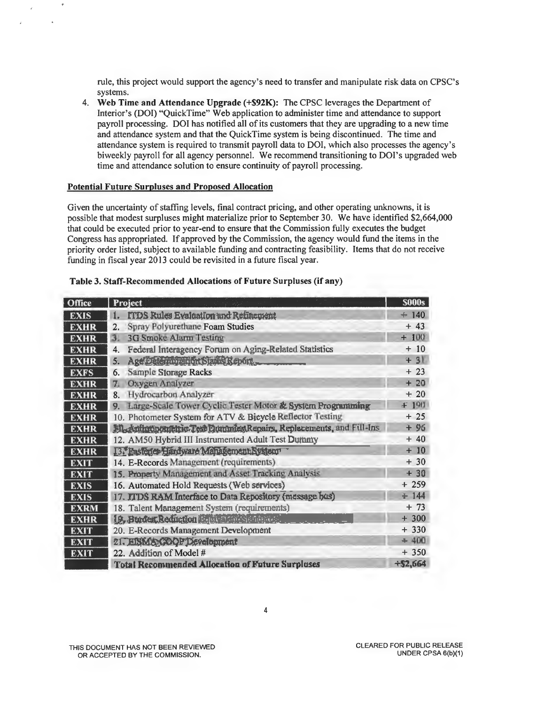rule, this project would support the agency's need to transfer and manipulate risk data on CPSC's systems.

4. Web Time and Attendance Upgrade (+\$92K): The CPSC leverages the Department of Interior's (DOI) "QuickTime" Web application to administer time and attendance to support payroll processing. DOI has notified all of its customers that they are upgrading to a new time and attendance system and that the QuickTime system is being discontinued. The time and attendance system is required to transmit payroll data to DOI, which also processes the agency's biweekly payroll for all agency personnel. We recommend transitioning to DOI's upgraded web time and attendance solution to ensure continuity of payroll processing.

### Potential Future Surpluses and Proposed Allocation

Given the uncertainty of staffing levels, final contract pricing, and other operating unknowns, it is possible that modest surpluses might materialize prior to September 30. We have identified \$2,664,000 that could be executed prior to year-end to ensure that the Commission fully executes the budget Congress has appropriated. If approved by the Commission, the agency would fund the items in the priority order listed, subject to available funding and contracting feasibility. Items that do not receive funding in fiscal year 2013 could be revisited in a future fiscal year.

| <b>Office</b> | <b>Project</b>                                                     | <b>S000s</b> |
|---------------|--------------------------------------------------------------------|--------------|
| <b>EXIS</b>   | ITDS Rules Evaluation and Refinement<br>1.                         | $+ 140$      |
| <b>EXHR</b>   | Spray Polyurethane Foam Studies<br>2.                              | $+43$        |
| <b>EXHR</b>   | <b>3G Smoke Alarm Testing</b><br>3.                                | $+100$       |
| <b>EXHR</b>   | Federal Interagency Forum on Aging-Related Statistics<br>4.        | $+10$        |
| <b>EXHR</b>   | Age Delerringtion State Report.<br>5.                              | $+31$        |
| <b>EXFS</b>   | <b>Sample Storage Racks</b><br>6.                                  | $+23$        |
| <b>EXHR</b>   | Oxygen Analyzer<br>7.                                              | $+20$        |
| <b>EXHR</b>   | Hydrocarbon Analyzer<br>8.                                         | $+20$        |
| <b>EXHR</b>   | Large-Scale Tower Cyclic Tester Motor & System Programming<br>9.   | $+190$       |
| <b>EXHR</b>   | 10. Photometer System for ATV & Bicycle Reflector Testing          | $+25$        |
| <b>EXHR</b>   | M. Anthroponetric Test Doumles Repairs, Replacements, and Fill-Ins | $+96$        |
| <b>EXHR</b>   | 12. AM50 Hybrid III Instrumented Adult Test Dummy                  | $+40$        |
| <b>EXHR</b>   | 13. Instere Hardyard Management System                             | $+10$        |
| <b>EXIT</b>   | 14. E-Records Management (requirements)                            | $+30$        |
| <b>EXIT</b>   | 15. Property Management and Asset Tracking Analysis                | $+30$        |
| <b>EXIS</b>   | 16. Automated Hold Requests (Web services)                         | $+259$       |
| <b>EXIS</b>   | 17. ITDS RAM Interface to Data Repository (message bus)            | ± 144        |
| <b>EXRM</b>   | 18. Talent Management System (requirements)                        | $+ 73$       |
| <b>EXHR</b>   | 19. Burden, Reduction Report Services and                          | $+300$       |
| <b>EXIT</b>   | 20. E-Records Management Development                               | $+330$       |
| <b>EXIT</b>   | 21. EISMACOOP Development                                          | $+400$       |
| <b>EXIT</b>   | 22. Addition of Model #                                            | $+350$       |
|               | <b>Total Recommended Allocation of Future Surpluses</b>            | $+ $2,664$   |

### Table 3. Staff-Recommended Allocations of Future Surpluses (if any)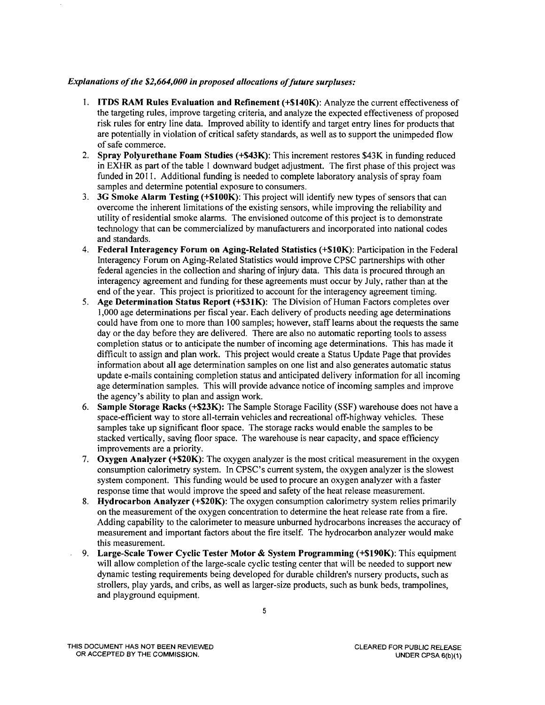### *Explanations of the \$2,664,000 in proposed allocations of future surpluses:*

- I. ITDS RAM Rules Evaluation and Refinement (+\$140K): Analyze the current effectiveness of the targeting rules, improve targeting criteria, and analyze the expected effectiveness of proposed risk rules for entry line data. Improved ability to identify and target entry lines for products that are potentially in violation of critical safety standards, as well as to support the unimpeded flow of safe commerce.
- 2. Spray Polyurethane Foam Studies (+\$43K): This increment restores \$43K in funding reduced in EXHR as part of the table I downward budget adjustment. The first phase of this project was funded in 2011. Additional funding is needed to complete laboratory analysis of spray foam samples and determine potential exposure to consumers.
- 3. 3G Smoke Alarm Testing (+\$100K): This project will identify new types of sensors that can overcome the inherent limitations of the existing sensors, while improving the reliability and utility ofresidential smoke alarms. The envisioned outcome of this project is to demonstrate technology that can be commercialized by manufacturers and incorporated into national codes and standards.
- 4. Federal Interagency Forum on Aging-Related Statistics (+\$10K): Participation in the Federal Interagency Forum on Aging-Related Statistics would improve CPSC partnerships with other federal agencies in the collection and sharing of injury data. This data is procured through an interagency agreement and funding for these agreements must occur by July, rather than at the end of the year. This project is prioritized to account for the interagency agreement timing.
- 5. Age Determination Status Report (+\$31K): The Division of Human Factors completes over 1,000 age determinations per fiscal year. Each delivery of products needing age determinations could have from one to more than 100 samples; however, staff learns about the requests the same day or the day before they are delivered. There are also no automatic reporting tools to assess completion status or to anticipate the number of incoming age determinations. This has made it difficult to assign and plan work. This project would create a Status Update Page that provides information about all age determination samples on one list and also generates automatic status update e-mails containing completion status and anticipated delivery information for all incoming age determination samples. This will provide advance notice of incoming samples and improve the agency's ability to plan and assign work.
- 6. Sample Storage Racks (+\$23K): The Sample Storage Facility (SSF) warehouse does not have a space-efficient way to store all-terrain vehicles and recreational off-highway vehicles. These samples take up significant floor space. The storage racks would enable the samples to be stacked vertically, saving floor space. The warehouse is near capacity, and space efficiency improvements are a priority.
- 7. Oxygen Analyzer (+\$20K): The oxygen analyzer is the most critical measurement in the oxygen consumption calorimetry system. In CPSC's current system, the oxygen analyzer is the slowest system component. This funding would be used to procure an oxygen analyzer with a faster response time that would improve the speed and safety of the heat release measurement.
- 8. Hydrocarbon Analyzer (+\$20K): The oxygen consumption calorimetry system relies primarily on the measurement of the oxygen concentration to determine the heat release rate from a fire. Adding capability to the calorimeter to measure unburned hydrocarbons increases the accuracy of measurement and important factors about the fire itself. The hydrocarbon analyzer would make this measurement.
- 9. Large-Scale Tower Cyclic Tester Motor & System Programming (+\$190K): This equipment will allow completion of the large-scale cyclic testing center that will be needed to support new dynamic testing requirements being developed for durable children's nursery products, such as strollers, play yards, and cribs, as well as larger-size products, such as bunk beds, trampolines, and playground equipment.

THIS DOCUMENT HAS NOT BEEN REVIEWED OR ACCEPTED BY THE COMMISSION.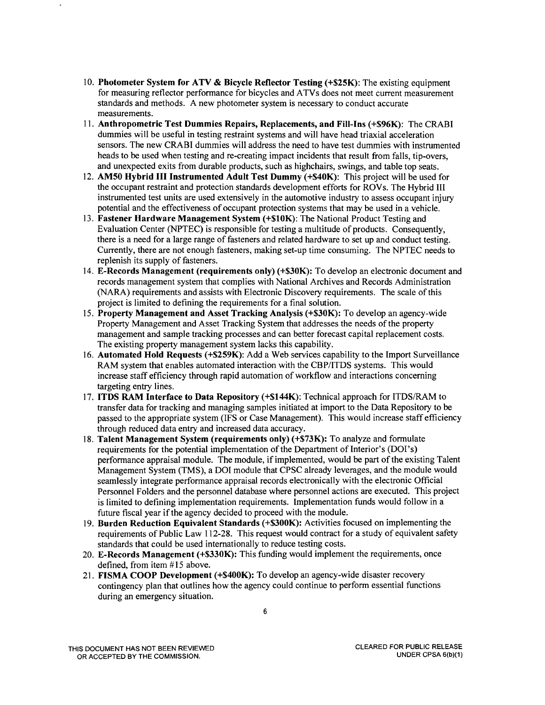- 10. Photometer System for ATV & Bicycle Reflector Testing (+\$25K): The existing equipment for measuring reflector performance for bicycles and ATVs does not meet current measurement standards and methods. A new photometer system is necessary to conduct accurate measurements.
- 11. Anthropometric Test Dummies Repairs, Replacements, and Fill-Ins (+\$96K): The CRABI dummies will be useful in testing restraint systems and will have head triaxial acceleration sensors. The new CRABI dummies will address the need to have test dummies with instrumented heads to be used when testing and re-creating impact incidents that result from falls, tip-overs, and unexpected exits from durable products, such as highchairs, swings, and table top seats.
- 12. AMSO Hybrid III Instrumented Adult Test Dummy (+\$40K): This project will be used for the occupant restraint and protection standards development efforts for ROVs. The Hybrid III instrumented test units are used extensively in the automotive industry to assess occupant injury potential and the effectiveness of occupant protection systems that may be used in a vehicle.
- 13. Fastener Hardware Management System (+\$10K): The National Product Testing and Evaluation Center (NPTEC) is responsible for testing a multitude of products. Consequently, there is a need for a large range of fasteners and related hardware to set up and conduct testing. Currently, there are not enough fasteners, making set-up time consuming. The NPTEC needs to replenish its supply of fasteners.
- 14. E-Records Management (requirements only) (+\$30K): To develop an electronic document and records management system that complies with National Archives and Records Administration (NARA) requirements and assists with Electronic Discovery requirements. The scale of this project is limited to defining the requirements for a final solution.
- 15. Property Management and Asset Tracking Analysis (+\$30K): To develop an agency-wide Property Management and Asset Tracking System that addresses the needs of the property management and sample tracking processes and can better forecast capital replacement costs. The existing property management system lacks this capability.
- 16. Automated Hold Requests (+\$259K): Add a Web services capability to the Import Surveillance RAM system that enables automated interaction with the CBP/ITDS systems. This would increase staff efficiency through rapid automation of workflow and interactions concerning targeting entry lines.
- 17. ITDS RAM Interface to Data Repository (+\$144K): Technical approach for ITDS/RAM to transfer data for tracking and managing samples initiated at import to the Data Repository to be passed to the appropriate system (IFS or Case Management). This would increase staff efficiency through reduced data entry and increased data accuracy.
- 18. Talent Management System (requirements only) (+\$73K): To analyze and formulate requirements for the potential implementation of the Department of Interior's (DOI's) performance appraisal module. The module, if implemented, would be part of the existing Talent Management System (TMS), a DOI module that CPSC already leverages, and the module would seamlessly integrate performance appraisal records electronically with the electronic Official Personnel Folders and the personnel database where personnel actions are executed. This project is limited to defining implementation requirements. Implementation funds would follow in a future fiscal year if the agency decided to proceed with the module.
- 19. Burden Reduction Equivalent Standards (+\$300K): Activities focused on implementing the requirements of Public Law 112-28. This request would contract for a study of equivalent safety standards that could be used internationally to reduce testing costs.
- 20. E-Records Management (+\$330K): This funding would implement the requirements, once defined, from item #15 above.
- 21. FISMA COOP Development (+\$400K): To develop an agency-wide disaster recovery contingency plan that outlines how the agency could continue to perform essential functions during an emergency situation.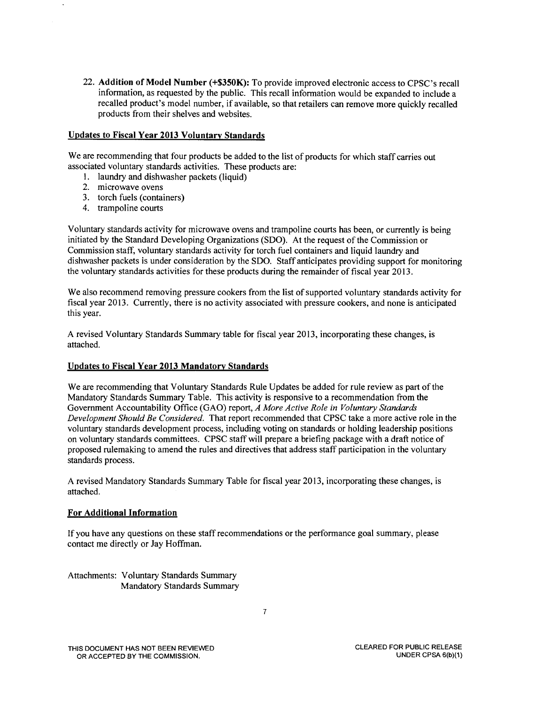22. **Addition of Model Number (+\$350K):** To provide improved electronic access to CPSC's recall information, as requested by the public. This recall information would be expanded to include a recalled product's model number, if available, so that retailers can remove more quickly recalled products from their shelves and websites.

### **Updates to Fiscal Year 2013 Voluntary Standards**

We are recommending that four products be added to the list of products for which staff carries out associated voluntary standards activities. These products are:

- 1. laundry and dishwasher packets (liquid)
- 2. microwave ovens
- 3. torch fuels (containers)
- 4. trampoline courts

Voluntary standards activity for microwave ovens and trampoline courts has been, or currently is being initiated by the Standard Developing Organizations (SDO). At the request of the Commission or Commission staff, voluntary standards activity for torch fuel containers and liquid laundry and dishwasher packets is under consideration by the SDO. Staff anticipates providing support for monitoring the voluntary standards activities for these products during the remainder of fiscal year 2013.

We also recommend removing pressure cookers from the list of supported voluntary standards activity for fiscal year 2013. Currently, there is no activity associated with pressure cookers, and none is anticipated this year.

A revised Voluntary Standards Summary table for fiscal year 2013, incorporating these changes, is attached.

### **Updates to Fiscal Year 2013 Mandatory Standards**

We are recommending that Voluntary Standards Rule Updates be added for rule review as part of the Mandatory Standards Summary Table. This activity is responsive to a recommendation from the Government Accountability Office (GAO) report, *A More Active Role in Voluntary Standards Development Should Be Considered.* That report recommended that CPSC take a more active role in the voluntary standards development process, including voting on standards or holding leadership positions on voluntary standards committees. CPSC staff will prepare a briefing package with a draft notice of proposed rulemaking to amend the rules and directives that address staff participation in the voluntary standards process.

A revised Mandatory Standards Summary Table for fiscal year 2013, incorporating these changes, is attached.

### **For Additional Information**

If you have any questions on these staff recommendations or the performance goal summary, please contact me directly or Jay Hoffman.

Attachments: Voluntary Standards Summary Mandatory Standards Summary

THIS DOCUMENT HAS NOT BEEN REVIEWED OR ACCEPTED BY THE COMMISSION.

CLEARED FOR PUBLIC RELEASE UNDER CPSA 6(b)(1)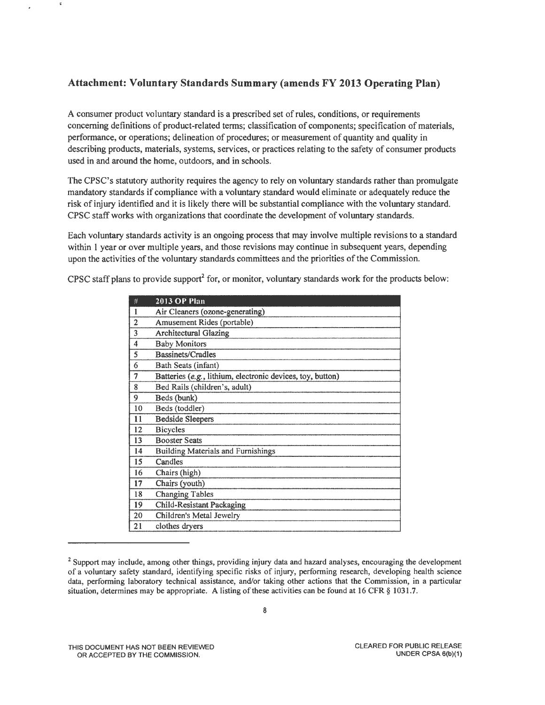# **Attachment: Voluntary Standards Summary (amends FY 2013 Operating Plan)**

 $\tilde{\mathbf{x}}$ 

A consumer product voluntary standard is a prescribed set of rules, conditions, or requirements concerning definitions of product-related terms; classification of components; specification of materials, performance, or operations; delineation of procedures; or measurement of quantity and quality in describing products, materials, systems, services, or practices relating to the safety of consumer products used in and around the home, outdoors, and in schools.

The CPSC's statutory authority requires the agency to rely on voluntary standards rather than promulgate mandatory standards if compliance with a voluntary standard would eliminate or adequately reduce the risk of injury identified and it is likely there will be substantial compliance with the voluntary standard. CPSC staff works with organizations that coordinate the development of voluntary standards.

Each voluntary standards activity is an ongoing process that may involve multiple revisions to a standard within 1 year or over multiple years, and those revisions may continue in subsequent years, depending upon the activities of the voluntary standards committees and the priorities of the Commission.

CPSC staff plans to provide support<sup>2</sup> for, or monitor, voluntary standards work for the products below:

| #                       | <b>2013 OP Plan</b>                                        |
|-------------------------|------------------------------------------------------------|
| 1                       | Air Cleaners (ozone-generating)                            |
| $\overline{2}$          | Amusement Rides (portable)                                 |
| 3                       | <b>Architectural Glazing</b>                               |
| $\overline{\mathbf{4}}$ | <b>Baby Monitors</b>                                       |
| 5                       | <b>Bassinets/Cradles</b>                                   |
| 6                       | Bath Seats (infant)                                        |
| 7                       | Batteries (e.g., lithium, electronic devices, toy, button) |
| 8                       | Bed Rails (children's, adult)                              |
| 9                       | Beds (bunk)                                                |
| 10                      | Beds (toddler)                                             |
| 11                      | <b>Bedside Sleepers</b>                                    |
| 12                      | <b>Bicycles</b>                                            |
| 13                      | <b>Booster Seats</b>                                       |
| 14                      | <b>Building Materials and Furnishings</b>                  |
| 15                      | Candles                                                    |
| 16                      | Chairs (high)                                              |
| 17                      | Chairs (youth)                                             |
| 18                      | <b>Changing Tables</b>                                     |
| 19                      | <b>Child-Resistant Packaging</b>                           |
| 20                      | Children's Metal Jewelry                                   |
| 21                      | clothes dryers                                             |

<sup>&</sup>lt;sup>2</sup> Support may include, among other things, providing injury data and hazard analyses, encouraging the development of a voluntary safety standard, identifying specific risks of injury, performing research, developing health science data, performing laboratory technical assistance, and/or taking other actions that the Commission, in a particular situation, determines may be appropriate. A listing of these activities can be found at 16 CFR § 1031.7.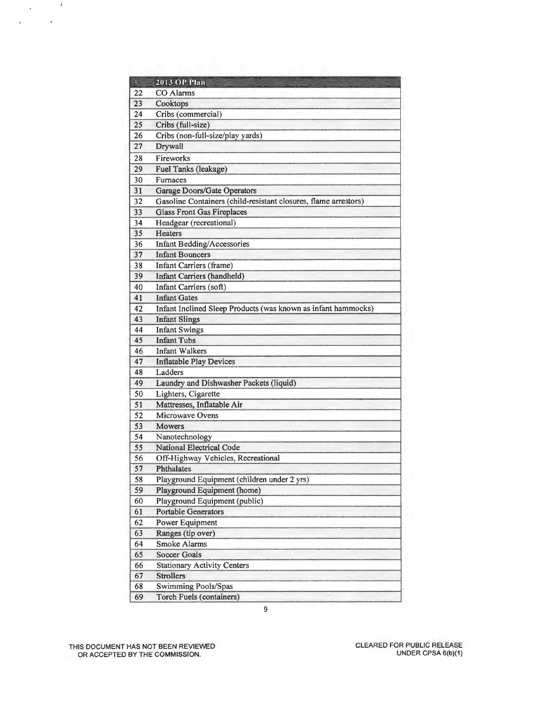| $\#$ | <b>2013 OP Plan</b>                                             |
|------|-----------------------------------------------------------------|
| 22   | CO Alarms                                                       |
| 23   | Cooktops                                                        |
| 24   | Cribs (commercial)                                              |
| 25   | Cribs (full-size)                                               |
| 26   | Cribs (non-full-size/play yards)                                |
| 27   | Drywall                                                         |
| 28   | Fireworks                                                       |
| 29   | Fuel Tanks (leakage)                                            |
| 30   | Furnaces                                                        |
| 31   | Garage Doors/Gate Operators                                     |
| 32   | Gasoline Containers (child-resistant closures, flame arrestors) |
| 33   | <b>Glass Front Gas Fireplaces</b>                               |
| 34   | Headgear (recreational)                                         |
| 35   | <b>Heaters</b>                                                  |
| 36   | <b>Infant Bedding/Accessories</b>                               |
| 37   | <b>Infant Bouncers</b>                                          |
| 38   | <b>Infant Carriers (frame)</b>                                  |
| 39   | Infant Carriers (handheld)                                      |
| 40   | Infant Carriers (soft)                                          |
| 41   | <b>Infant Gates</b>                                             |
| 42   | Infant Inclined Sleep Products (was known as infant hammocks)   |
| 43   | <b>Infant Slings</b>                                            |
| 44   | <b>Infant Swings</b>                                            |
| 45   | <b>Infant Tubs</b>                                              |
| 46   | <b>Infant Walkers</b>                                           |
| 47   | <b>Inflatable Play Devices</b>                                  |
| 48   | Ladders                                                         |
| 49   | Laundry and Dishwasher Packets (liquid)                         |
| 50   | Lighters, Cigarette                                             |
| 51   | Mattresses, Inflatable Air                                      |
| 52   | Microwave Ovens                                                 |
| 53   | Mowers                                                          |
| 54   | Nanotechnology                                                  |
| 55   | <b>National Electrical Code</b>                                 |
| 56   | Off-Highway Vehicles, Recreational                              |
| 57   | <b>Phthalates</b>                                               |
| 58   | Playground Equipment (children under 2 yrs)                     |
| 59   | Playground Equipment (home)                                     |
| 60   | Playground Equipment (public)                                   |
| 61   | <b>Portable Generators</b>                                      |
| 62   | Power Equipment                                                 |
| 63   | Ranges (tip over)                                               |
| 64   | <b>Smoke Alarms</b>                                             |
| 65   | <b>Soccer Goals</b>                                             |
| 66   | <b>Stationary Activity Centers</b>                              |
| 67   | <b>Strollers</b>                                                |
| 68   | Swimming Pools/Spas                                             |
| 69   | <b>Torch Fuels (containers)</b>                                 |
|      | $\boldsymbol{9}$                                                |

THIS DOCUMENT HAS NOT BEEN REVIEWED OR ACCEPTED BY THE COMMISSION.

 $\tilde{\mathbf{x}}$ 

l,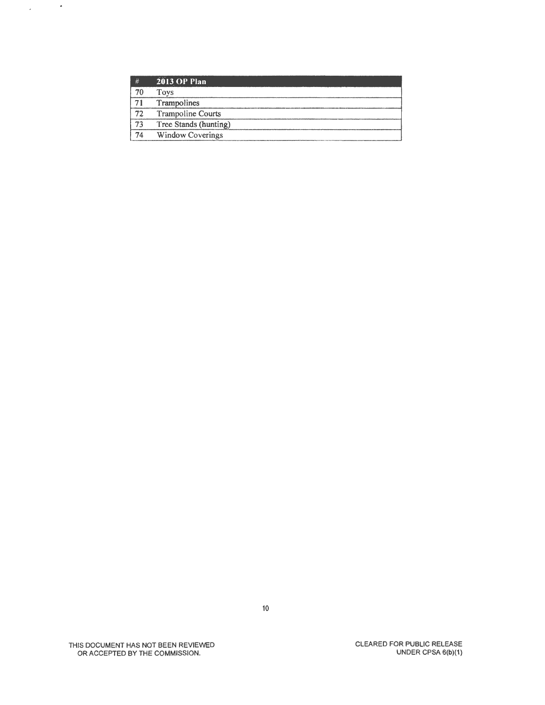|    | <b>2013 OP Plan</b>      |
|----|--------------------------|
|    | Toys                     |
|    | <b>Trampolines</b>       |
| 72 | <b>Trampoline Courts</b> |
| 73 | Tree Stands (hunting)    |
| 74 | <b>Window Coverings</b>  |

 $\chi_{\rm{max}}=2$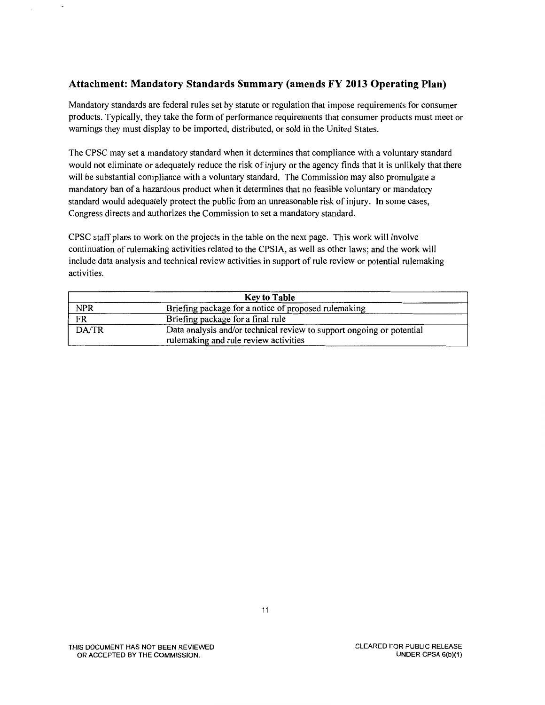# **Attachment: Mandatory Standards Summary (amends FY 2013 Operating Plan)**

Mandatory standards are federal rules set by statute or regulation that impose requirements for consumer products. Typically, they take the form of performance requirements that consumer products must meet or warnings they must display to be imported, distributed, or sold in the United States.

The CPSC may set a mandatory standard when it determines that compliance with a voluntary standard would not eliminate or adequately reduce the risk of injury or the agency finds that it is unlikely that there will be substantial compliance with a voluntary standard. The Commission may also promulgate a mandatory ban of a hazardous product when it determines that no feasible voluntary or mandatory standard would adequately protect the public from an unreasonable risk of injury. In some cases, Congress directs and authorizes the Commission to set a mandatory standard.

CPSC staff plans to work on the projects in the table on the next page. This work will involve continuation of rulemaking activities related to the CPS IA, as well as other laws; and the work will include data analysis and technical review activities in support of rule review or potential rulemaking activities.

| <b>Key to Table</b> |                                                                       |  |
|---------------------|-----------------------------------------------------------------------|--|
| <b>NPR</b>          | Briefing package for a notice of proposed rulemaking                  |  |
| FR                  | Briefing package for a final rule                                     |  |
| DA/TR               | Data analysis and/or technical review to support ongoing or potential |  |
|                     | rulemaking and rule review activities                                 |  |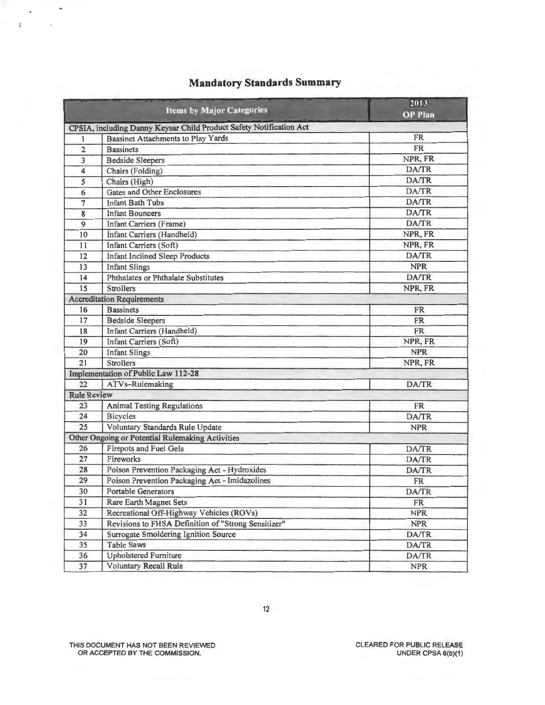|                    | <b>Items by Major Categories</b>                                    | 2013<br><b>OP</b> Plan |
|--------------------|---------------------------------------------------------------------|------------------------|
|                    | CPSIA, including Danny Keysar Child Product Safety Notification Act |                        |
| 1                  | <b>Bassinet Attachments to Play Yards</b>                           | <b>FR</b>              |
| $\overline{2}$     | <b>Bassinets</b>                                                    | <b>FR</b>              |
| 3                  | <b>Bedside Sleepers</b>                                             | NPR, FR                |
| 4                  | Chairs (Folding)                                                    | DA/TR                  |
| 5                  | Chairs (High)                                                       | DA/TR                  |
| 6                  | <b>Gates and Other Enclosures</b>                                   | DA/TR                  |
| 7                  | <b>Infant Bath Tubs</b>                                             | <b>DA/TR</b>           |
| 8                  | <b>Infant Bouncers</b>                                              | DA/TR                  |
| 9                  | <b>Infant Carriers (Frame)</b>                                      | <b>DA/TR</b>           |
| 10                 | Infant Carriers (Handheld)                                          | NPR, FR                |
| $_{11}$            | Infant Carriers (Soft)                                              | NPR, FR                |
| 12                 | <b>Infant Inclined Sleep Products</b>                               | DA/TR                  |
| 13                 | <b>Infant Slings</b>                                                | <b>NPR</b>             |
| 14                 | Phthalates or Phthalate Substitutes                                 | <b>DA/TR</b>           |
| 15                 | <b>Strollers</b>                                                    | NPR, FR                |
|                    | <b>Accreditation Requirements</b>                                   |                        |
| 16                 | <b>Bassinets</b>                                                    | <b>FR</b>              |
| 17                 | <b>Bedside Sleepers</b>                                             | <b>FR</b>              |
| 18                 | Infant Carriers (Handheld)                                          | <b>FR</b>              |
| 19                 | Infant Carriers (Soft)                                              | NPR, FR                |
| 20                 | <b>Infant Slings</b>                                                | <b>NPR</b>             |
| 21                 | <b>Strollers</b>                                                    | NPR, FR                |
|                    | Implementation of Public Law 112-28                                 |                        |
| 22                 | ATVs-Rulemaking                                                     | <b>DA/TR</b>           |
| <b>Rule Review</b> |                                                                     |                        |
| 23                 | <b>Animal Testing Regulations</b>                                   | <b>FR</b>              |
| 24                 | <b>Bicycles</b>                                                     | DA/TR                  |
| 25                 | Voluntary Standards Rule Update                                     | <b>NPR</b>             |
|                    | Other Ongoing or Potential Rulemaking Activities                    |                        |
| 26                 | <b>Firepots and Fuel Gels</b>                                       | <b>DA/TR</b>           |
| 27                 | Fireworks                                                           | DA/TR                  |
| 28                 | Poison Prevention Packaging Act - Hydroxides                        | DA/TR                  |
| 29                 | Poison Prevention Packaging Act - Imidazolines                      | <b>FR</b>              |
| 30                 | Portable Generators                                                 | <b>DA/TR</b>           |
| 31                 | <b>Rare Earth Magnet Sets</b>                                       | FR                     |
| 32                 | Recreational Off-Highway Vehicles (ROVs)                            | <b>NPR</b>             |
| 33                 | Revisions to FHSA Definition of "Strong Sensitizer"                 | <b>NPR</b>             |
| 34                 | Surrogate Smoldering Ignition Source                                | DA/TR                  |
| 35                 | <b>Table Saws</b>                                                   | DA/TR                  |
| 36                 | <b>Upholstered Furniture</b>                                        | DA/TR                  |
| 37                 | <b>Voluntary Recall Rule</b>                                        | <b>NPR</b>             |

# **Mandatory Standards Summary**

THIS DOCUMENT HAS NOT BEEN REVIEWED OR ACCEPTED BY THE COMMISSION.

 $\bullet$ 

à,  $\overline{y}$